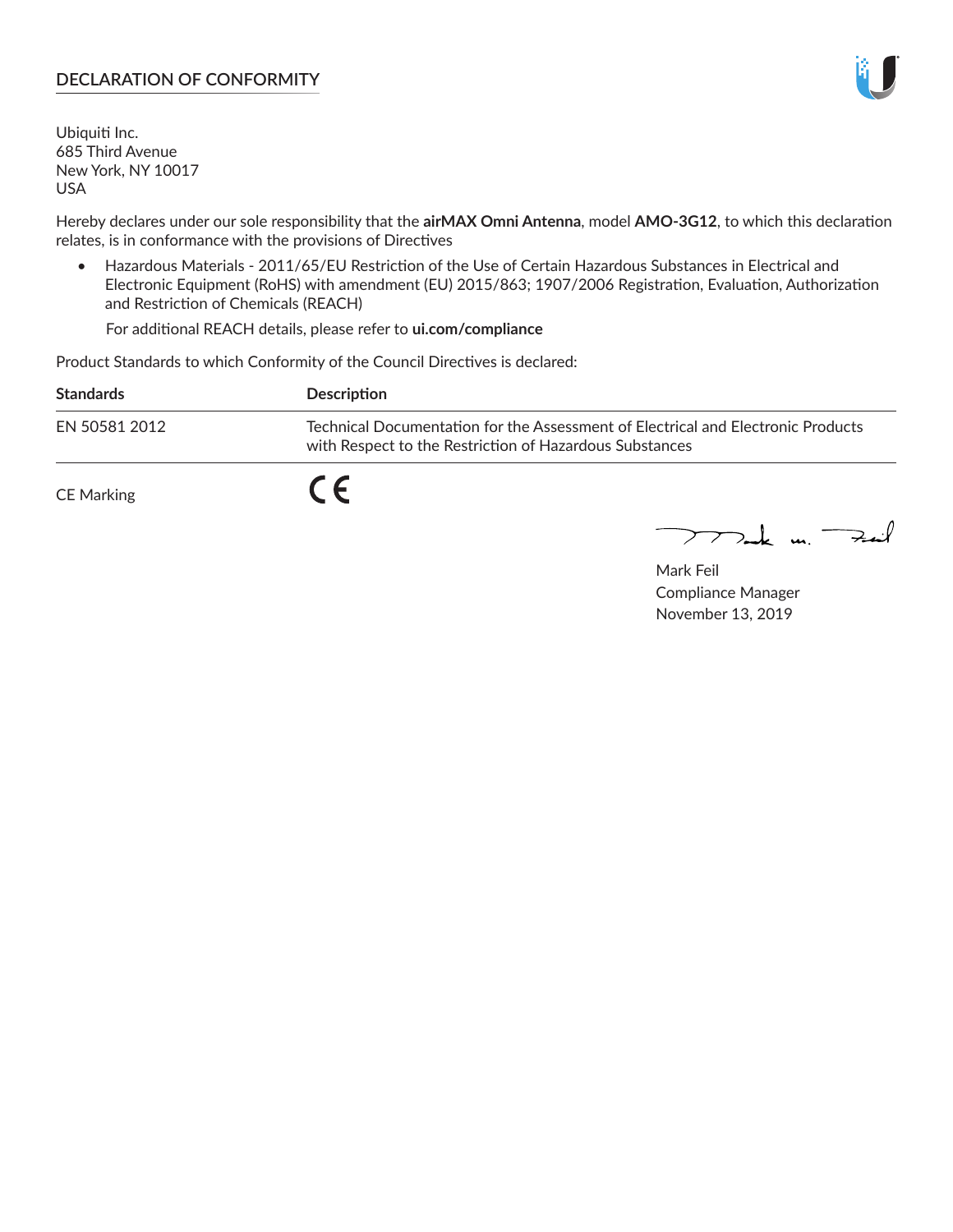### **DECLARATION OF CONFORMITY**

Ubiquiti Inc. 685 Third Avenue New York, NY 10017 USA

Hereby declares under our sole responsibility that the **airMAX Omni Antenna**, model **AMO-3G12**, to which this declaration relates, is in conformance with the provisions of Directives

• Hazardous Materials - 2011/65/EU Restriction of the Use of Certain Hazardous Substances in Electrical and Electronic Equipment (RoHS) with amendment (EU) 2015/863; 1907/2006 Registration, Evaluation, Authorization and Restriction of Chemicals (REACH)

For additional REACH details, please refer to **ui.com/compliance**

Product Standards to which Conformity of the Council Directives is declared:

| <b>Standards</b> | <b>Description</b>                                                                                                                          |
|------------------|---------------------------------------------------------------------------------------------------------------------------------------------|
| EN 50581 2012    | Technical Documentation for the Assessment of Electrical and Electronic Products<br>with Respect to the Restriction of Hazardous Substances |
| CE Marking       |                                                                                                                                             |

 $\sum_{n=1}^{\infty}$  un  $\sum_{n=1}^{\infty}$ 

Mark Feil Compliance Manager November 13, 2019

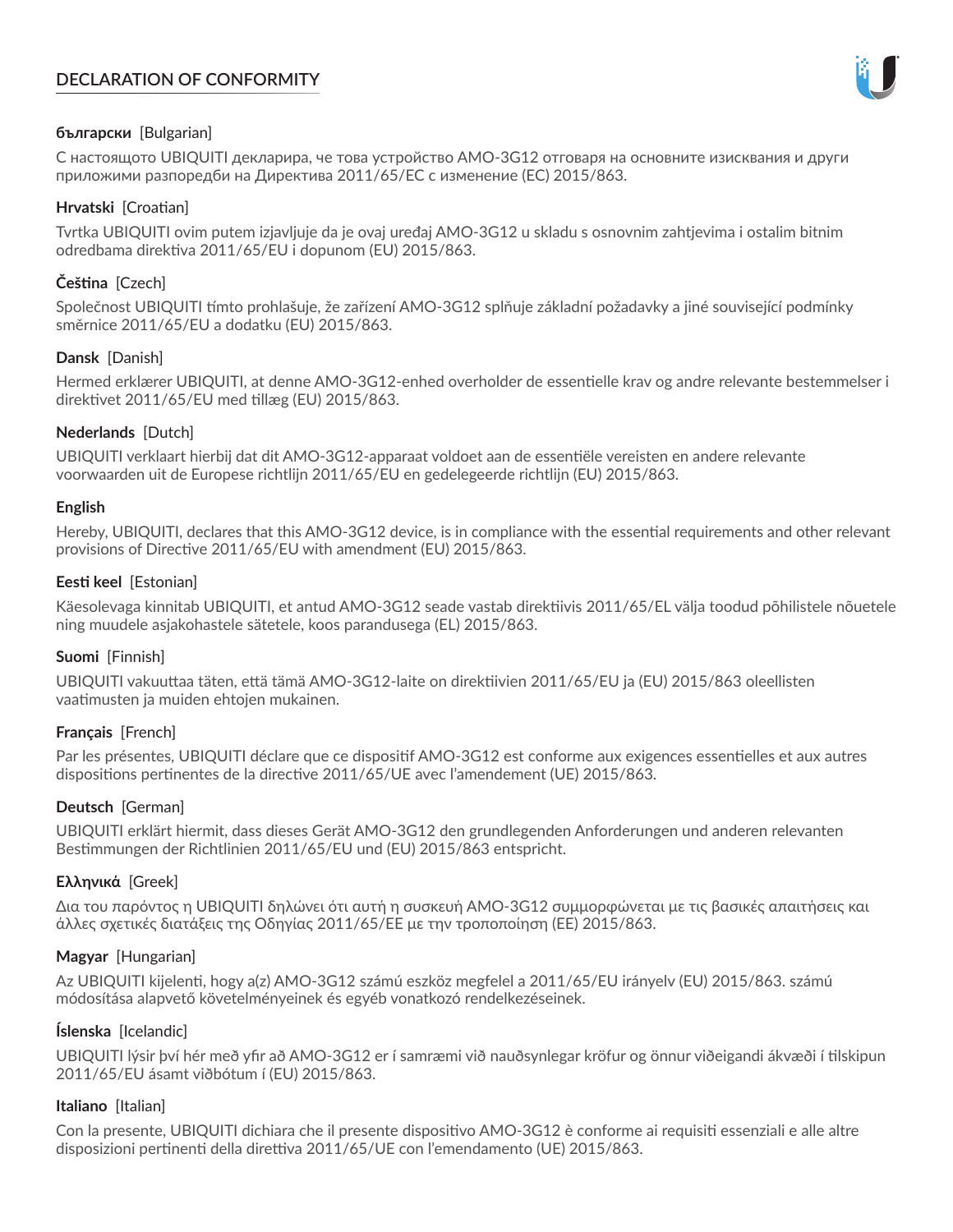# **DECLARATION OF CONFORMITY**



## **български** [Bulgarian]

С настоящото UBIQUITI декларира, че това устройство AMO-3G12 отговаря на основните изисквания и други приложими разпоредби на Директива 2011/65/ЕС с изменение (ЕС) 2015/863.

## **Hrvatski** [Croatian]

Tvrtka UBIQUITI ovim putem izjavljuje da je ovaj uređaj AMO-3G12 u skladu s osnovnim zahtjevima i ostalim bitnim odredbama direktiva 2011/65/EU i dopunom (EU) 2015/863.

# **Čeština** [Czech]

Společnost UBIQUITI tímto prohlašuje, že zařízení AMO-3G12 splňuje základní požadavky a jiné související podmínky směrnice 2011/65/EU a dodatku (EU) 2015/863.

### **Dansk** [Danish]

Hermed erklærer UBIQUITI, at denne AMO-3G12-enhed overholder de essentielle krav og andre relevante bestemmelser i direktivet 2011/65/EU med tillæg (EU) 2015/863.

### **Nederlands** [Dutch]

UBIQUITI verklaart hierbij dat dit AMO-3G12-apparaat voldoet aan de essentiële vereisten en andere relevante voorwaarden uit de Europese richtlijn 2011/65/EU en gedelegeerde richtlijn (EU) 2015/863.

#### **English**

Hereby, UBIQUITI, declares that this AMO-3G12 device, is in compliance with the essential requirements and other relevant provisions of Directive 2011/65/EU with amendment (EU) 2015/863.

### **Eesti keel** [Estonian]

Käesolevaga kinnitab UBIQUITI, et antud AMO-3G12 seade vastab direktiivis 2011/65/EL välja toodud põhilistele nõuetele ning muudele asjakohastele sätetele, koos parandusega (EL) 2015/863.

## **Suomi** [Finnish]

UBIQUITI vakuuttaa täten, että tämä AMO-3G12-laite on direktiivien 2011/65/EU ja (EU) 2015/863 oleellisten vaatimusten ja muiden ehtojen mukainen.

#### **Français** [French]

Par les présentes, UBIQUITI déclare que ce dispositif AMO-3G12 est conforme aux exigences essentielles et aux autres dispositions pertinentes de la directive 2011/65/UE avec l'amendement (UE) 2015/863.

## **Deutsch** [German]

UBIQUITI erklärt hiermit, dass dieses Gerät AMO-3G12 den grundlegenden Anforderungen und anderen relevanten Bestimmungen der Richtlinien 2011/65/EU und (EU) 2015/863 entspricht.

#### **Ελληνικά** [Greek]

Δια του παρόντος η UBIQUITI δηλώνει ότι αυτή η συσκευή AMO-3G12 συμμορφώνεται με τις βασικές απαιτήσεις και άλλες σχετικές διατάξεις της Οδηγίας 2011/65/ΕΕ με την τροποποίηση (ΕΕ) 2015/863.

## **Magyar** [Hungarian]

Az UBIQUITI kijelenti, hogy a(z) AMO-3G12 számú eszköz megfelel a 2011/65/EU irányelv (EU) 2015/863. számú módosítása alapvető követelményeinek és egyéb vonatkozó rendelkezéseinek.

#### **Íslenska** [Icelandic]

UBIQUITI lýsir því hér með yfir að AMO-3G12 er í samræmi við nauðsynlegar kröfur og önnur viðeigandi ákvæði í tilskipun 2011/65/EU ásamt viðbótum í (EU) 2015/863.

#### **Italiano** [Italian]

Con la presente, UBIQUITI dichiara che il presente dispositivo AMO-3G12 è conforme ai requisiti essenziali e alle altre disposizioni pertinenti della direttiva 2011/65/UE con l'emendamento (UE) 2015/863.